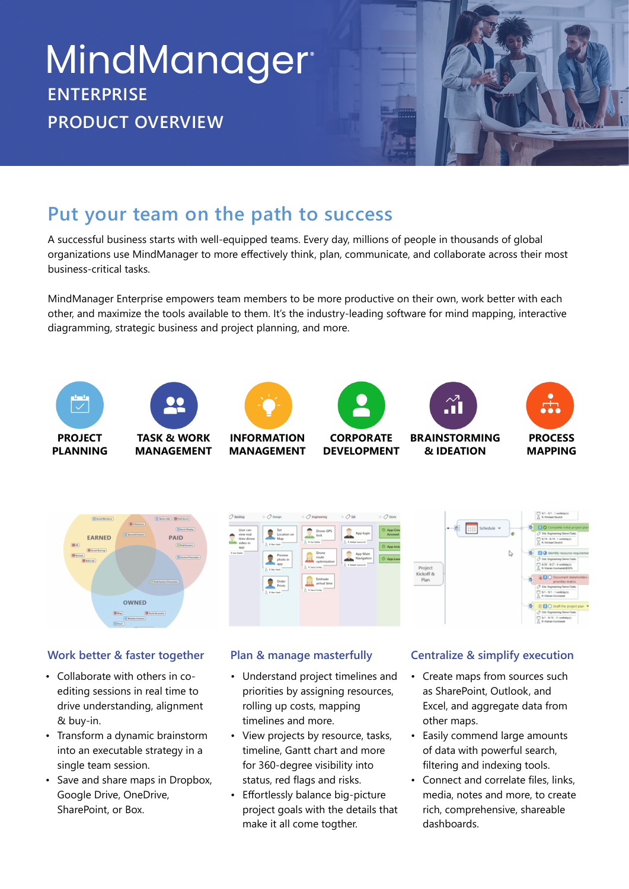# **MindManager**® **ENTERPRISE PRODUCT OVERVIEW**

# **Put your team on the path to success**

A successful business starts with well-equipped teams. Every day, millions of people in thousands of global organizations use MindManager to more effectively think, plan, communicate, and collaborate across their most business-critical tasks.

MindManager Enterprise empowers team members to be more productive on their own, work better with each other, and maximize the tools available to them. It's the industry-leading software for mind mapping, interactive diagramming, strategic business and project planning, and more.





**MANAGEMENT**

**INFORMATION**

**MANAGEMENT**



**CORPORATE**



**DEVELOPMENT BRAINSTORMING & IDEATION**



# ¢



## **Work better & faster together**

- Collaborate with others in coediting sessions in real time to drive understanding, alignment & buy-in.
- Transform a dynamic brainstorm into an executable strategy in a single team session.
- Save and share maps in Dropbox, Google Drive, OneDrive, SharePoint, or Box. •

- Understand project timelines and priorities by assigning resources, rolling up costs, mapping timelines and more.
- View projects by resource, tasks, timeline, Gantt chart and more for 360-degree visibility into status, red flags and risks. •
- Effortlessly balance big-picture project goals with the details that make it all come togther. •

## **Plan & manage masterfully Centralize & simplify execution**

- Create maps from sources such as SharePoint, Outlook, and Excel, and aggregate data from other maps.
- Easily commend large amounts of data with powerful search, filtering and indexing tools.
- Connect and correlate files, links, media, notes and more, to create rich, comprehensive, shareable dashboards.